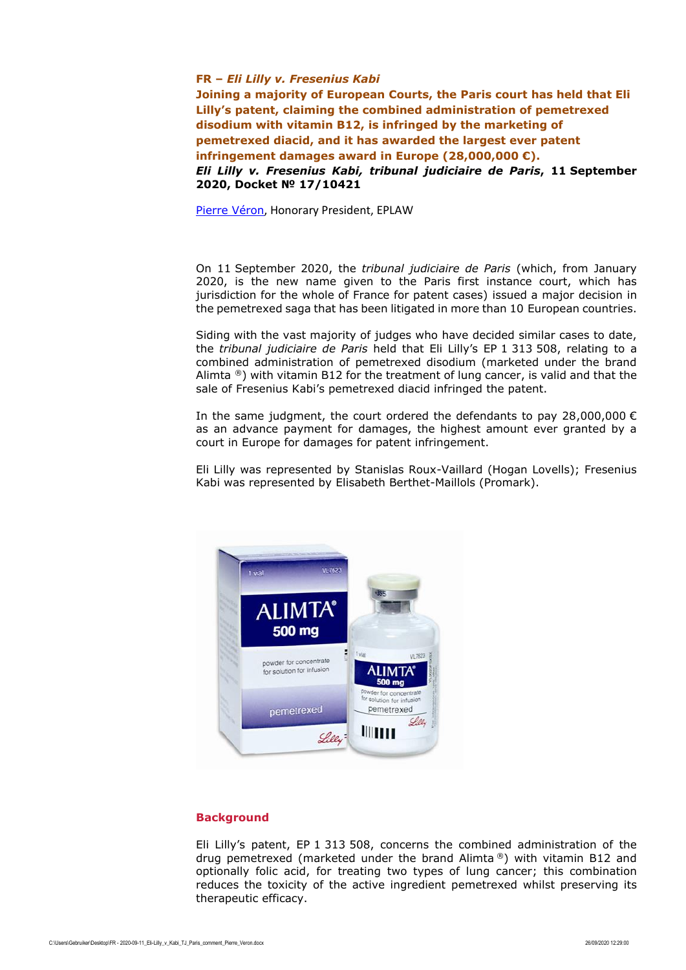# **FR –** *Eli Lilly v. Fresenius Kabi*

**Joining a majority of European Courts, the Paris court has held that Eli Lilly's patent, claiming the combined administration of pemetrexed disodium with vitamin B12, is infringed by the marketing of pemetrexed diacid, and it has awarded the largest ever patent infringement damages award in Europe (28,000,000 €).** *Eli Lilly v. Fresenius Kabi, tribunal judiciaire de Paris***, 11 September 2020, Docket № 17/10421**

[Pierre Véron](http://www.pierre-veron.com/), Honorary President, EPLAW

On 11 September 2020, the *tribunal judiciaire de Paris* (which, from January 2020, is the new name given to the Paris first instance court, which has jurisdiction for the whole of France for patent cases) issued a major decision in the pemetrexed saga that has been litigated in more than 10 European countries.

Siding with the vast majority of judges who have decided similar cases to date, the *tribunal judiciaire de Paris* held that Eli Lilly's EP 1 313 508, relating to a combined administration of pemetrexed disodium (marketed under the brand Alimta  $\textcircled{\tiny{\textcircled{\tiny{}}}}$ ) with vitamin B12 for the treatment of lung cancer, is valid and that the sale of Fresenius Kabi's pemetrexed diacid infringed the patent.

In the same judgment, the court ordered the defendants to pay 28,000,000  $\epsilon$ as an advance payment for damages, the highest amount ever granted by a court in Europe for damages for patent infringement.

Eli Lilly was represented by Stanislas Roux-Vaillard (Hogan Lovells); Fresenius Kabi was represented by Elisabeth Berthet-Maillols (Promark).



# **Background**

Eli Lilly's patent, EP 1 313 508, concerns the combined administration of the drug pemetrexed (marketed under the brand Alimta  $\textdegree$ ) with vitamin B12 and optionally folic acid, for treating two types of lung cancer; this combination reduces the toxicity of the active ingredient pemetrexed whilst preserving its therapeutic efficacy.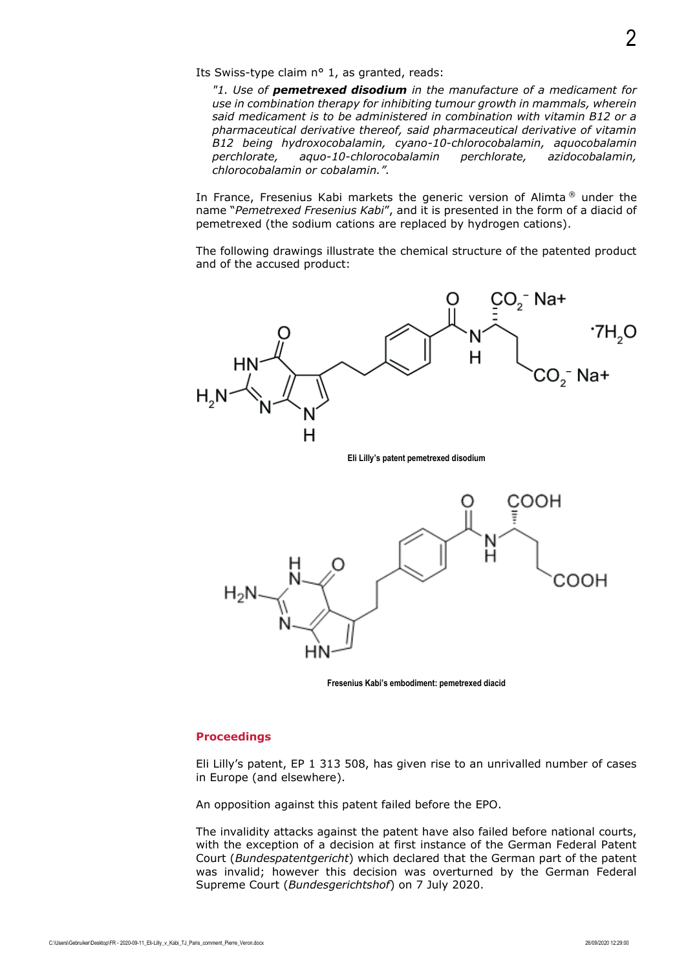Its Swiss-type claim n° 1, as granted, reads:

*"1. Use of pemetrexed disodium in the manufacture of a medicament for use in combination therapy for inhibiting tumour growth in mammals, wherein said medicament is to be administered in combination with vitamin B12 or a pharmaceutical derivative thereof, said pharmaceutical derivative of vitamin B12 being hydroxocobalamin, cyano-10-chlorocobalamin, aquocobalamin perchlorate, aquo-10-chlorocobalamin perchlorate, azidocobalamin, chlorocobalamin or cobalamin.".*

In France, Fresenius Kabi markets the generic version of Alimta ® under the name "*Pemetrexed Fresenius Kabi*", and it is presented in the form of a diacid of pemetrexed (the sodium cations are replaced by hydrogen cations).

The following drawings illustrate the chemical structure of the patented product and of the accused product:



**Fresenius Kabi's embodiment: pemetrexed diacid**

### **Proceedings**

Eli Lilly's patent, EP 1 313 508, has given rise to an unrivalled number of cases in Europe (and elsewhere).

An opposition against this patent failed before the EPO.

The invalidity attacks against the patent have also failed before national courts, with the exception of a decision at first instance of the German Federal Patent Court (*Bundespatentgericht*) which declared that the German part of the patent was invalid; however this decision was overturned by the German Federal Supreme Court (*Bundesgerichtshof*) on 7 July 2020.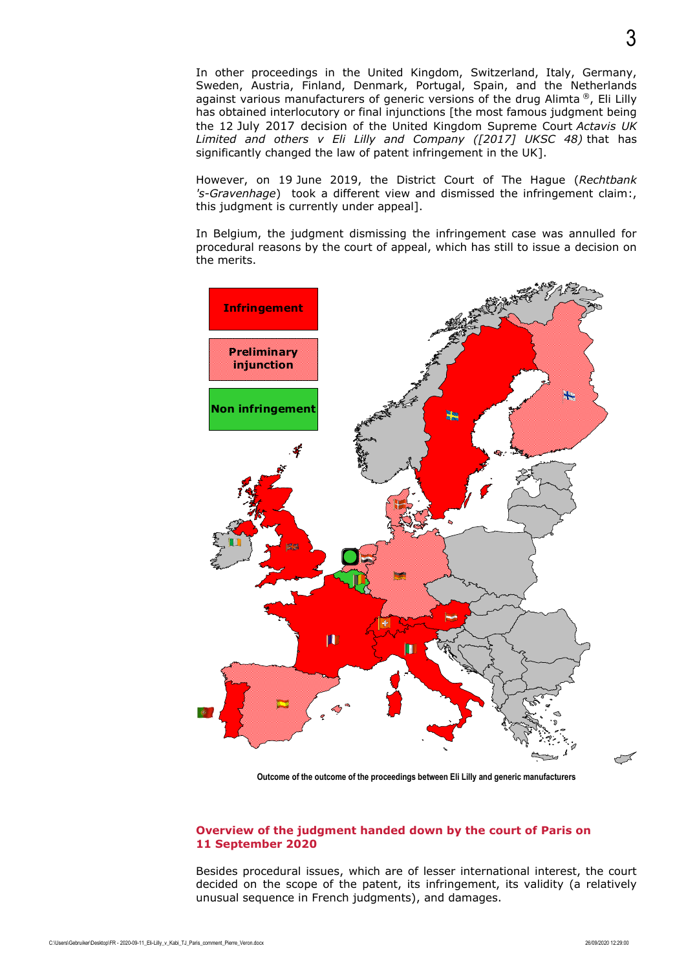In other proceedings in the United Kingdom, Switzerland, Italy, Germany, Sweden, Austria, Finland, Denmark, Portugal, Spain, and the Netherlands against various manufacturers of generic versions of the drug Alimta ®, Eli Lilly has obtained interlocutory or final injunctions [the most famous judgment being the 12 July 2017 decision of the United Kingdom Supreme Court *Actavis UK Limited and others v Eli Lilly and Company ([2017] UKSC 48)* that has significantly changed the law of patent infringement in the UK].

However, on 19 June 2019, the District Court of The Hague (*Rechtbank 's-Gravenhage*) took a different view and dismissed the infringement claim:, this judgment is currently under appeal].

In Belgium, the judgment dismissing the infringement case was annulled for procedural reasons by the court of appeal, which has still to issue a decision on the merits.



**Outcome of the outcome of the proceedings between Eli Lilly and generic manufacturers**

# **Overview of the judgment handed down by the court of Paris on 11 September 2020**

Besides procedural issues, which are of lesser international interest, the court decided on the scope of the patent, its infringement, its validity (a relatively unusual sequence in French judgments), and damages.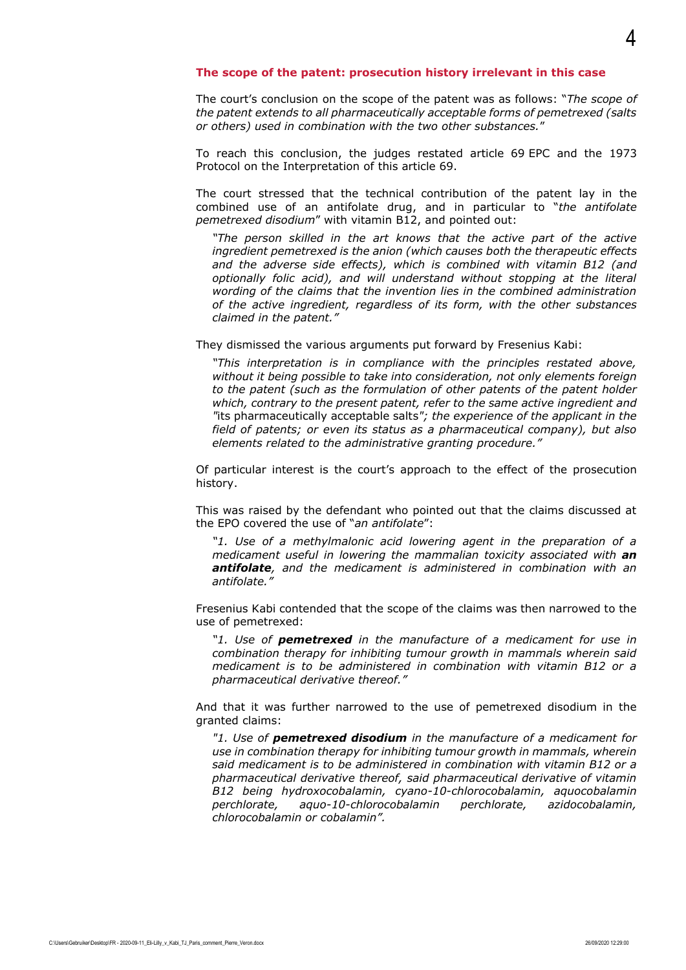### **The scope of the patent: prosecution history irrelevant in this case**

The court's conclusion on the scope of the patent was as follows: "*The scope of the patent extends to all pharmaceutically acceptable forms of pemetrexed (salts or others) used in combination with the two other substances.*"

To reach this conclusion, the judges restated article 69 EPC and the 1973 Protocol on the Interpretation of this article 69.

The court stressed that the technical contribution of the patent lay in the combined use of an antifolate drug, and in particular to "*the antifolate pemetrexed disodium*" with vitamin B12, and pointed out:

*"The person skilled in the art knows that the active part of the active ingredient pemetrexed is the anion (which causes both the therapeutic effects and the adverse side effects), which is combined with vitamin B12 (and optionally folic acid), and will understand without stopping at the literal wording of the claims that the invention lies in the combined administration of the active ingredient, regardless of its form, with the other substances claimed in the patent."*

They dismissed the various arguments put forward by Fresenius Kabi:

*"This interpretation is in compliance with the principles restated above, without it being possible to take into consideration, not only elements foreign to the patent (such as the formulation of other patents of the patent holder which, contrary to the present patent, refer to the same active ingredient and "*its pharmaceutically acceptable salts*"; the experience of the applicant in the field of patents; or even its status as a pharmaceutical company), but also elements related to the administrative granting procedure."*

Of particular interest is the court's approach to the effect of the prosecution history.

This was raised by the defendant who pointed out that the claims discussed at the EPO covered the use of "*an antifolate*":

*"1. Use of a methylmalonic acid lowering agent in the preparation of a medicament useful in lowering the mammalian toxicity associated with an antifolate, and the medicament is administered in combination with an antifolate."*

Fresenius Kabi contended that the scope of the claims was then narrowed to the use of pemetrexed:

*"1. Use of pemetrexed in the manufacture of a medicament for use in combination therapy for inhibiting tumour growth in mammals wherein said medicament is to be administered in combination with vitamin B12 or a pharmaceutical derivative thereof."*

And that it was further narrowed to the use of pemetrexed disodium in the granted claims:

*"1. Use of pemetrexed disodium in the manufacture of a medicament for use in combination therapy for inhibiting tumour growth in mammals, wherein said medicament is to be administered in combination with vitamin B12 or a pharmaceutical derivative thereof, said pharmaceutical derivative of vitamin B12 being hydroxocobalamin, cyano-10-chlorocobalamin, aquocobalamin perchlorate, aquo-10-chlorocobalamin perchlorate, azidocobalamin, chlorocobalamin or cobalamin".*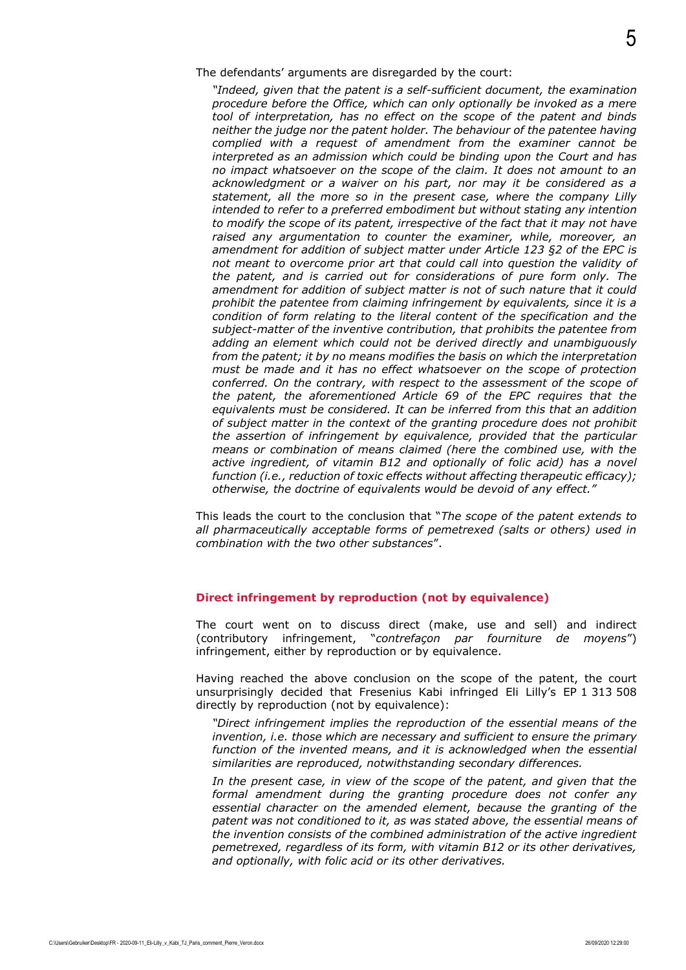*"Indeed, given that the patent is a self-sufficient document, the examination procedure before the Office, which can only optionally be invoked as a mere tool of interpretation, has no effect on the scope of the patent and binds neither the judge nor the patent holder. The behaviour of the patentee having complied with a request of amendment from the examiner cannot be interpreted as an admission which could be binding upon the Court and has no impact whatsoever on the scope of the claim. It does not amount to an acknowledgment or a waiver on his part, nor may it be considered as a statement, all the more so in the present case, where the company Lilly intended to refer to a preferred embodiment but without stating any intention to modify the scope of its patent, irrespective of the fact that it may not have raised any argumentation to counter the examiner, while, moreover, an amendment for addition of subject matter under Article 123 §2 of the EPC is not meant to overcome prior art that could call into question the validity of the patent, and is carried out for considerations of pure form only. The amendment for addition of subject matter is not of such nature that it could prohibit the patentee from claiming infringement by equivalents, since it is a condition of form relating to the literal content of the specification and the subject-matter of the inventive contribution, that prohibits the patentee from adding an element which could not be derived directly and unambiguously from the patent; it by no means modifies the basis on which the interpretation must be made and it has no effect whatsoever on the scope of protection conferred. On the contrary, with respect to the assessment of the scope of the patent, the aforementioned Article 69 of the EPC requires that the equivalents must be considered. It can be inferred from this that an addition of subject matter in the context of the granting procedure does not prohibit the assertion of infringement by equivalence, provided that the particular means or combination of means claimed (here the combined use, with the active ingredient, of vitamin B12 and optionally of folic acid) has a novel function (i.e., reduction of toxic effects without affecting therapeutic efficacy); otherwise, the doctrine of equivalents would be devoid of any effect."*

This leads the court to the conclusion that "*The scope of the patent extends to all pharmaceutically acceptable forms of pemetrexed (salts or others) used in combination with the two other substances*".

# **Direct infringement by reproduction (not by equivalence)**

The court went on to discuss direct (make, use and sell) and indirect (contributory infringement, "*contrefaçon par fourniture de moyens*") infringement, either by reproduction or by equivalence.

Having reached the above conclusion on the scope of the patent, the court unsurprisingly decided that Fresenius Kabi infringed Eli Lilly's EP 1 313 508 directly by reproduction (not by equivalence):

*"Direct infringement implies the reproduction of the essential means of the invention, i.e. those which are necessary and sufficient to ensure the primary function of the invented means, and it is acknowledged when the essential similarities are reproduced, notwithstanding secondary differences.*

*In the present case, in view of the scope of the patent, and given that the formal amendment during the granting procedure does not confer any essential character on the amended element, because the granting of the patent was not conditioned to it, as was stated above, the essential means of the invention consists of the combined administration of the active ingredient pemetrexed, regardless of its form, with vitamin B12 or its other derivatives, and optionally, with folic acid or its other derivatives.*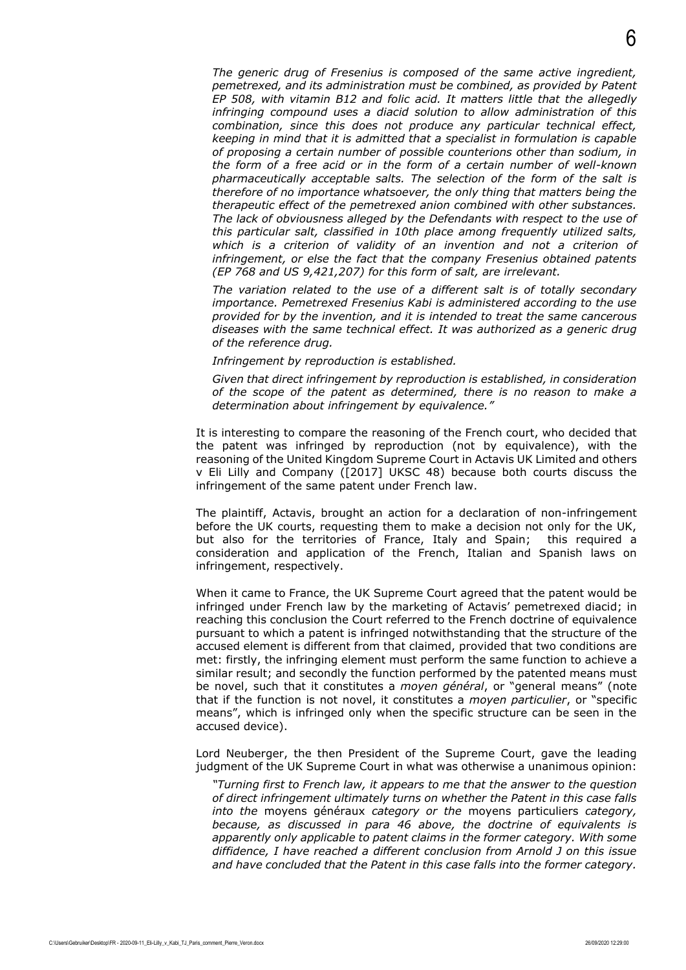*The generic drug of Fresenius is composed of the same active ingredient, pemetrexed, and its administration must be combined, as provided by Patent EP 508, with vitamin B12 and folic acid. It matters little that the allegedly infringing compound uses a diacid solution to allow administration of this combination, since this does not produce any particular technical effect, keeping in mind that it is admitted that a specialist in formulation is capable of proposing a certain number of possible counterions other than sodium, in the form of a free acid or in the form of a certain number of well-known pharmaceutically acceptable salts. The selection of the form of the salt is therefore of no importance whatsoever, the only thing that matters being the therapeutic effect of the pemetrexed anion combined with other substances. The lack of obviousness alleged by the Defendants with respect to the use of this particular salt, classified in 10th place among frequently utilized salts, which is a criterion of validity of an invention and not a criterion of infringement, or else the fact that the company Fresenius obtained patents (EP 768 and US 9,421,207) for this form of salt, are irrelevant.*

*The variation related to the use of a different salt is of totally secondary importance. Pemetrexed Fresenius Kabi is administered according to the use provided for by the invention, and it is intended to treat the same cancerous diseases with the same technical effect. It was authorized as a generic drug of the reference drug.*

*Infringement by reproduction is established.*

*Given that direct infringement by reproduction is established, in consideration of the scope of the patent as determined, there is no reason to make a determination about infringement by equivalence."*

It is interesting to compare the reasoning of the French court, who decided that the patent was infringed by reproduction (not by equivalence), with the reasoning of the United Kingdom Supreme Court in Actavis UK Limited and others v Eli Lilly and Company ([2017] UKSC 48) because both courts discuss the infringement of the same patent under French law.

The plaintiff, Actavis, brought an action for a declaration of non-infringement before the UK courts, requesting them to make a decision not only for the UK, but also for the territories of France, Italy and Spain; this required a consideration and application of the French, Italian and Spanish laws on infringement, respectively.

When it came to France, the UK Supreme Court agreed that the patent would be infringed under French law by the marketing of Actavis' pemetrexed diacid; in reaching this conclusion the Court referred to the French doctrine of equivalence pursuant to which a patent is infringed notwithstanding that the structure of the accused element is different from that claimed, provided that two conditions are met: firstly, the infringing element must perform the same function to achieve a similar result; and secondly the function performed by the patented means must be novel, such that it constitutes a *moyen général*, or "general means" (note that if the function is not novel, it constitutes a *moyen particulier*, or "specific means", which is infringed only when the specific structure can be seen in the accused device).

Lord Neuberger, the then President of the Supreme Court, gave the leading judgment of the UK Supreme Court in what was otherwise a unanimous opinion:

*"Turning first to French law, it appears to me that the answer to the question of direct infringement ultimately turns on whether the Patent in this case falls into the* moyens généraux *category or the* moyens particuliers *category, because, as discussed in para 46 above, the doctrine of equivalents is apparently only applicable to patent claims in the former category. With some diffidence, I have reached a different conclusion from Arnold J on this issue and have concluded that the Patent in this case falls into the former category.*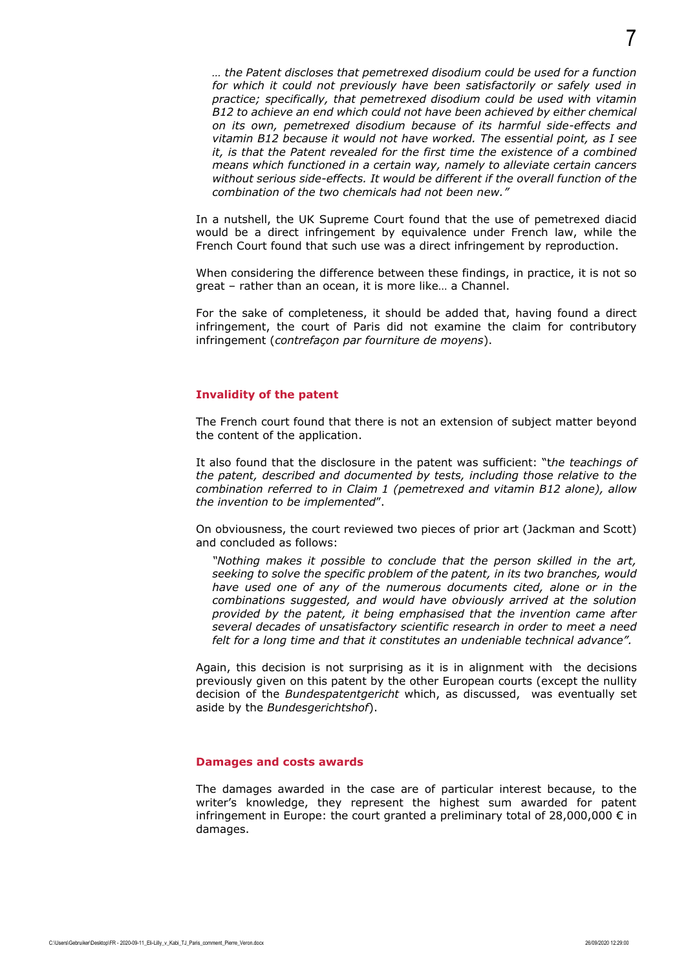*… the Patent discloses that pemetrexed disodium could be used for a function for which it could not previously have been satisfactorily or safely used in practice; specifically, that pemetrexed disodium could be used with vitamin B12 to achieve an end which could not have been achieved by either chemical on its own, pemetrexed disodium because of its harmful side-effects and vitamin B12 because it would not have worked. The essential point, as I see it, is that the Patent revealed for the first time the existence of a combined means which functioned in a certain way, namely to alleviate certain cancers without serious side-effects. It would be different if the overall function of the combination of the two chemicals had not been new."*

In a nutshell, the UK Supreme Court found that the use of pemetrexed diacid would be a direct infringement by equivalence under French law, while the French Court found that such use was a direct infringement by reproduction.

When considering the difference between these findings, in practice, it is not so great – rather than an ocean, it is more like… a Channel.

For the sake of completeness, it should be added that, having found a direct infringement, the court of Paris did not examine the claim for contributory infringement (*contrefaçon par fourniture de moyens*).

# **Invalidity of the patent**

The French court found that there is not an extension of subject matter beyond the content of the application.

It also found that the disclosure in the patent was sufficient: "t*he teachings of the patent, described and documented by tests, including those relative to the combination referred to in Claim 1 (pemetrexed and vitamin B12 alone), allow the invention to be implemented*".

On obviousness, the court reviewed two pieces of prior art (Jackman and Scott) and concluded as follows:

*"Nothing makes it possible to conclude that the person skilled in the art, seeking to solve the specific problem of the patent, in its two branches, would have used one of any of the numerous documents cited, alone or in the combinations suggested, and would have obviously arrived at the solution provided by the patent, it being emphasised that the invention came after several decades of unsatisfactory scientific research in order to meet a need felt for a long time and that it constitutes an undeniable technical advance".*

Again, this decision is not surprising as it is in alignment with the decisions previously given on this patent by the other European courts (except the nullity decision of the *Bundespatentgericht* which, as discussed, was eventually set aside by the *Bundesgerichtshof*).

#### **Damages and costs awards**

The damages awarded in the case are of particular interest because, to the writer's knowledge, they represent the highest sum awarded for patent infringement in Europe: the court granted a preliminary total of 28,000,000  $\epsilon$  in damages.